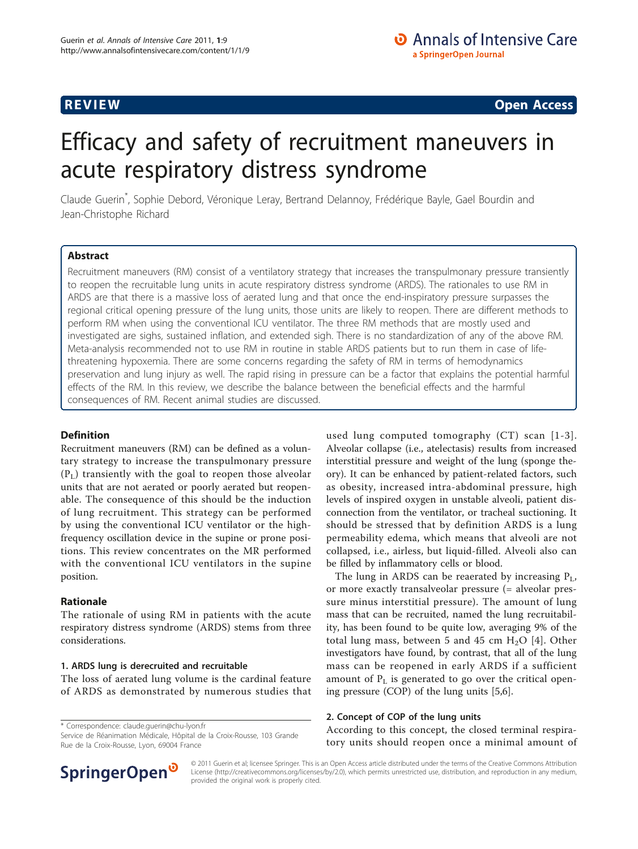# **REVIEW REVIEW CONSTRUCTER CONSTRUCTION**

# Efficacy and safety of recruitment maneuvers in acute respiratory distress syndrome

Claude Guerin\* , Sophie Debord, Véronique Leray, Bertrand Delannoy, Frédérique Bayle, Gael Bourdin and Jean-Christophe Richard

# Abstract

Recruitment maneuvers (RM) consist of a ventilatory strategy that increases the transpulmonary pressure transiently to reopen the recruitable lung units in acute respiratory distress syndrome (ARDS). The rationales to use RM in ARDS are that there is a massive loss of aerated lung and that once the end-inspiratory pressure surpasses the regional critical opening pressure of the lung units, those units are likely to reopen. There are different methods to perform RM when using the conventional ICU ventilator. The three RM methods that are mostly used and investigated are sighs, sustained inflation, and extended sigh. There is no standardization of any of the above RM. Meta-analysis recommended not to use RM in routine in stable ARDS patients but to run them in case of lifethreatening hypoxemia. There are some concerns regarding the safety of RM in terms of hemodynamics preservation and lung injury as well. The rapid rising in pressure can be a factor that explains the potential harmful effects of the RM. In this review, we describe the balance between the beneficial effects and the harmful consequences of RM. Recent animal studies are discussed.

# Definition

Recruitment maneuvers (RM) can be defined as a voluntary strategy to increase the transpulmonary pressure  $(P_L)$  transiently with the goal to reopen those alveolar units that are not aerated or poorly aerated but reopenable. The consequence of this should be the induction of lung recruitment. This strategy can be performed by using the conventional ICU ventilator or the highfrequency oscillation device in the supine or prone positions. This review concentrates on the MR performed with the conventional ICU ventilators in the supine position.

#### Rationale

The rationale of using RM in patients with the acute respiratory distress syndrome (ARDS) stems from three considerations.

#### 1. ARDS lung is derecruited and recruitable

The loss of aerated lung volume is the cardinal feature of ARDS as demonstrated by numerous studies that

\* Correspondence: [claude.guerin@chu-lyon.fr](mailto:claude.guerin@chu-lyon.fr)

Service de Réanimation Médicale, Hôpital de la Croix-Rousse, 103 Grande Rue de la Croix-Rousse, Lyon, 69004 France

used lung computed tomography (CT) scan [[1](#page-4-0)-[3\]](#page-4-0). Alveolar collapse (i.e., atelectasis) results from increased interstitial pressure and weight of the lung (sponge theory). It can be enhanced by patient-related factors, such as obesity, increased intra-abdominal pressure, high levels of inspired oxygen in unstable alveoli, patient disconnection from the ventilator, or tracheal suctioning. It should be stressed that by definition ARDS is a lung permeability edema, which means that alveoli are not collapsed, i.e., airless, but liquid-filled. Alveoli also can be filled by inflammatory cells or blood.

The lung in ARDS can be reaerated by increasing  $P_L$ , or more exactly transalveolar pressure (= alveolar pressure minus interstitial pressure). The amount of lung mass that can be recruited, named the lung recruitability, has been found to be quite low, averaging 9% of the total lung mass, between 5 and 45 cm  $H_2O$  [\[4](#page-4-0)]. Other investigators have found, by contrast, that all of the lung mass can be reopened in early ARDS if a sufficient amount of  $P<sub>L</sub>$  is generated to go over the critical opening pressure (COP) of the lung units [\[5,6](#page-4-0)].

#### 2. Concept of COP of the lung units

According to this concept, the closed terminal respiratory units should reopen once a minimal amount of



© 2011 Guerin et al; licensee Springer. This is an Open Access article distributed under the terms of the Creative Commons Attribution License [\(http://creativecommons.org/licenses/by/2.0](http://creativecommons.org/licenses/by/2.0)), which permits unrestricted use, distribution, and reproduction in any medium, provided the original work is properly cited.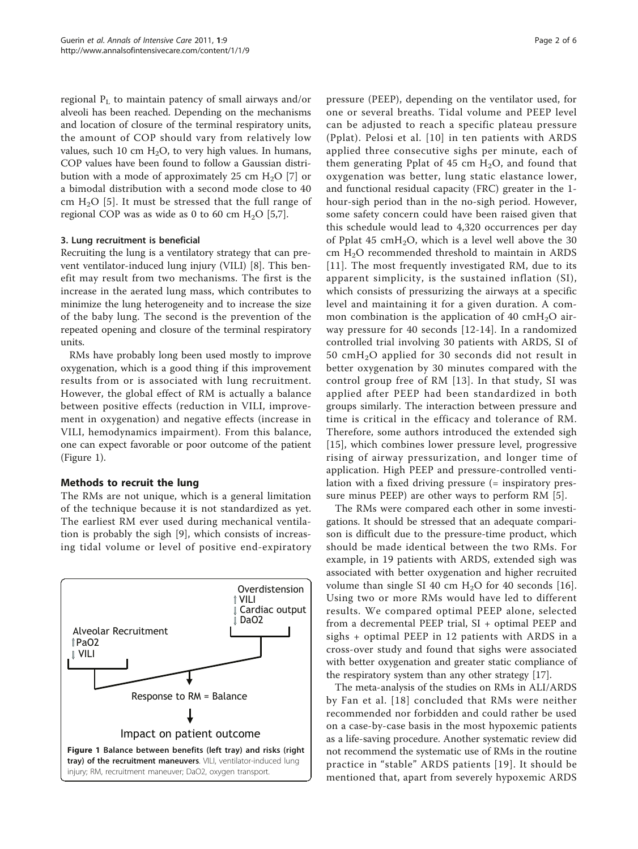regional  $P_L$  to maintain patency of small airways and/or alveoli has been reached. Depending on the mechanisms and location of closure of the terminal respiratory units, the amount of COP should vary from relatively low values, such 10 cm  $H_2O$ , to very high values. In humans, COP values have been found to follow a Gaussian distribution with a mode of approximately 25 cm  $H_2O$  [\[7](#page-4-0)] or a bimodal distribution with a second mode close to 40 cm  $H<sub>2</sub>O$  [[5\]](#page-4-0). It must be stressed that the full range of regional COP was as wide as 0 to 60 cm  $H_2O$  [\[5,7](#page-4-0)].

## 3. Lung recruitment is beneficial

Recruiting the lung is a ventilatory strategy that can prevent ventilator-induced lung injury (VILI) [[8\]](#page-4-0). This benefit may result from two mechanisms. The first is the increase in the aerated lung mass, which contributes to minimize the lung heterogeneity and to increase the size of the baby lung. The second is the prevention of the repeated opening and closure of the terminal respiratory units.

RMs have probably long been used mostly to improve oxygenation, which is a good thing if this improvement results from or is associated with lung recruitment. However, the global effect of RM is actually a balance between positive effects (reduction in VILI, improvement in oxygenation) and negative effects (increase in VILI, hemodynamics impairment). From this balance, one can expect favorable or poor outcome of the patient (Figure 1).

# Methods to recruit the lung

The RMs are not unique, which is a general limitation of the technique because it is not standardized as yet. The earliest RM ever used during mechanical ventilation is probably the sigh [[9](#page-4-0)], which consists of increasing tidal volume or level of positive end-expiratory



pressure (PEEP), depending on the ventilator used, for one or several breaths. Tidal volume and PEEP level can be adjusted to reach a specific plateau pressure (Pplat). Pelosi et al. [[10\]](#page-4-0) in ten patients with ARDS applied three consecutive sighs per minute, each of them generating Pplat of 45 cm  $H<sub>2</sub>O$ , and found that oxygenation was better, lung static elastance lower, and functional residual capacity (FRC) greater in the 1 hour-sigh period than in the no-sigh period. However, some safety concern could have been raised given that this schedule would lead to 4,320 occurrences per day of Pplat 45 cmH<sub>2</sub>O, which is a level well above the 30 cm H2O recommended threshold to maintain in ARDS [[11](#page-4-0)]. The most frequently investigated RM, due to its apparent simplicity, is the sustained inflation (SI), which consists of pressurizing the airways at a specific level and maintaining it for a given duration. A common combination is the application of 40 cmH<sub>2</sub>O airway pressure for 40 seconds [[12](#page-4-0)-[14](#page-4-0)]. In a randomized controlled trial involving 30 patients with ARDS, SI of 50 cmH2O applied for 30 seconds did not result in better oxygenation by 30 minutes compared with the control group free of RM [[13](#page-4-0)]. In that study, SI was applied after PEEP had been standardized in both groups similarly. The interaction between pressure and time is critical in the efficacy and tolerance of RM. Therefore, some authors introduced the extended sigh [[15](#page-4-0)], which combines lower pressure level, progressive rising of airway pressurization, and longer time of application. High PEEP and pressure-controlled ventilation with a fixed driving pressure (= inspiratory pressure minus PEEP) are other ways to perform RM [\[5](#page-4-0)].

The RMs were compared each other in some investigations. It should be stressed that an adequate comparison is difficult due to the pressure-time product, which should be made identical between the two RMs. For example, in 19 patients with ARDS, extended sigh was associated with better oxygenation and higher recruited volume than single SI 40 cm  $H<sub>2</sub>O$  for 40 seconds [[16](#page-4-0)]. Using two or more RMs would have led to different results. We compared optimal PEEP alone, selected from a decremental PEEP trial, SI + optimal PEEP and sighs + optimal PEEP in 12 patients with ARDS in a cross-over study and found that sighs were associated with better oxygenation and greater static compliance of the respiratory system than any other strategy [\[17\]](#page-4-0).

The meta-analysis of the studies on RMs in ALI/ARDS by Fan et al. [[18](#page-4-0)] concluded that RMs were neither recommended nor forbidden and could rather be used on a case-by-case basis in the most hypoxemic patients as a life-saving procedure. Another systematic review did not recommend the systematic use of RMs in the routine practice in "stable" ARDS patients [[19\]](#page-4-0). It should be mentioned that, apart from severely hypoxemic ARDS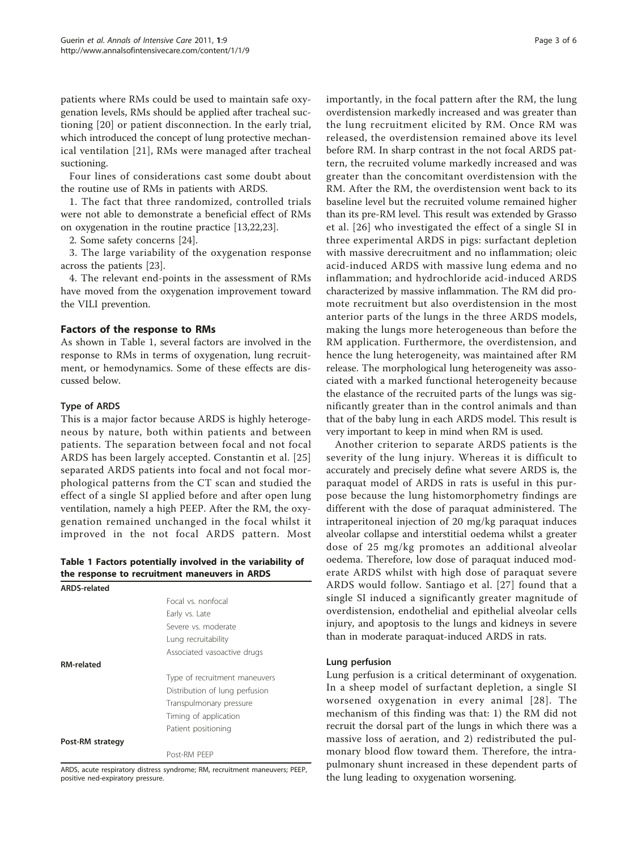patients where RMs could be used to maintain safe oxygenation levels, RMs should be applied after tracheal suctioning [\[20](#page-4-0)] or patient disconnection. In the early trial, which introduced the concept of lung protective mechanical ventilation [[21](#page-4-0)], RMs were managed after tracheal suctioning.

Four lines of considerations cast some doubt about the routine use of RMs in patients with ARDS.

1. The fact that three randomized, controlled trials were not able to demonstrate a beneficial effect of RMs on oxygenation in the routine practice [\[13,22,23\]](#page-4-0).

2. Some safety concerns [[24](#page-4-0)].

3. The large variability of the oxygenation response across the patients [\[23](#page-4-0)].

4. The relevant end-points in the assessment of RMs have moved from the oxygenation improvement toward the VILI prevention.

# Factors of the response to RMs

As shown in Table 1, several factors are involved in the response to RMs in terms of oxygenation, lung recruitment, or hemodynamics. Some of these effects are discussed below.

# Type of ARDS

This is a major factor because ARDS is highly heterogeneous by nature, both within patients and between patients. The separation between focal and not focal ARDS has been largely accepted. Constantin et al. [[25](#page-4-0)] separated ARDS patients into focal and not focal morphological patterns from the CT scan and studied the effect of a single SI applied before and after open lung ventilation, namely a high PEEP. After the RM, the oxygenation remained unchanged in the focal whilst it improved in the not focal ARDS pattern. Most

## Table 1 Factors potentially involved in the variability of the response to recruitment maneuvers in ARDS

| <b>ARDS-related</b> |                                |
|---------------------|--------------------------------|
|                     | Eocal vs. nonfocal             |
|                     | Early vs. Late                 |
|                     | Severe vs. moderate            |
|                     | Lung recruitability            |
|                     | Associated vasoactive drugs    |
| <b>RM-related</b>   |                                |
|                     | Type of recruitment maneuvers  |
|                     | Distribution of lung perfusion |
|                     | Transpulmonary pressure        |
|                     | Timing of application          |
|                     | Patient positioning            |
| Post-RM strategy    |                                |
|                     | Post-RM PFFP                   |

ARDS, acute respiratory distress syndrome; RM, recruitment maneuvers; PEEP, positive ned-expiratory pressure.

importantly, in the focal pattern after the RM, the lung overdistension markedly increased and was greater than the lung recruitment elicited by RM. Once RM was released, the overdistension remained above its level before RM. In sharp contrast in the not focal ARDS pattern, the recruited volume markedly increased and was greater than the concomitant overdistension with the RM. After the RM, the overdistension went back to its baseline level but the recruited volume remained higher than its pre-RM level. This result was extended by Grasso et al. [[26](#page-4-0)] who investigated the effect of a single SI in three experimental ARDS in pigs: surfactant depletion with massive derecruitment and no inflammation; oleic acid-induced ARDS with massive lung edema and no inflammation; and hydrochloride acid-induced ARDS characterized by massive inflammation. The RM did promote recruitment but also overdistension in the most anterior parts of the lungs in the three ARDS models, making the lungs more heterogeneous than before the RM application. Furthermore, the overdistension, and hence the lung heterogeneity, was maintained after RM release. The morphological lung heterogeneity was associated with a marked functional heterogeneity because the elastance of the recruited parts of the lungs was significantly greater than in the control animals and than that of the baby lung in each ARDS model. This result is very important to keep in mind when RM is used.

Another criterion to separate ARDS patients is the severity of the lung injury. Whereas it is difficult to accurately and precisely define what severe ARDS is, the paraquat model of ARDS in rats is useful in this purpose because the lung histomorphometry findings are different with the dose of paraquat administered. The intraperitoneal injection of 20 mg/kg paraquat induces alveolar collapse and interstitial oedema whilst a greater dose of 25 mg/kg promotes an additional alveolar oedema. Therefore, low dose of paraquat induced moderate ARDS whilst with high dose of paraquat severe ARDS would follow. Santiago et al. [[27](#page-4-0)] found that a single SI induced a significantly greater magnitude of overdistension, endothelial and epithelial alveolar cells injury, and apoptosis to the lungs and kidneys in severe than in moderate paraquat-induced ARDS in rats.

# Lung perfusion

Lung perfusion is a critical determinant of oxygenation. In a sheep model of surfactant depletion, a single SI worsened oxygenation in every animal [[28](#page-4-0)]. The mechanism of this finding was that: 1) the RM did not recruit the dorsal part of the lungs in which there was a massive loss of aeration, and 2) redistributed the pulmonary blood flow toward them. Therefore, the intrapulmonary shunt increased in these dependent parts of the lung leading to oxygenation worsening.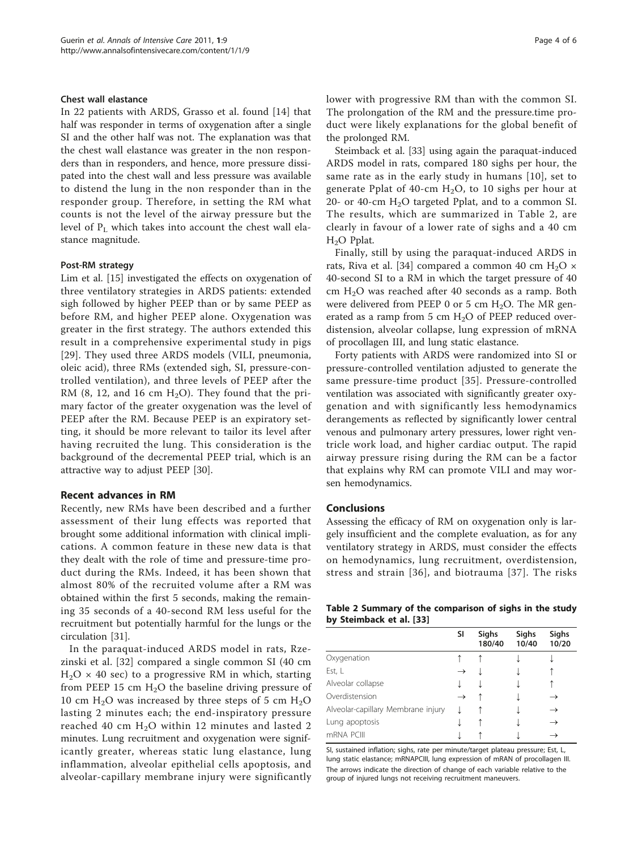#### Chest wall elastance

In 22 patients with ARDS, Grasso et al. found [[14\]](#page-4-0) that half was responder in terms of oxygenation after a single SI and the other half was not. The explanation was that the chest wall elastance was greater in the non responders than in responders, and hence, more pressure dissipated into the chest wall and less pressure was available to distend the lung in the non responder than in the responder group. Therefore, in setting the RM what counts is not the level of the airway pressure but the level of PL which takes into account the chest wall elastance magnitude.

#### Post-RM strategy

Lim et al. [[15\]](#page-4-0) investigated the effects on oxygenation of three ventilatory strategies in ARDS patients: extended sigh followed by higher PEEP than or by same PEEP as before RM, and higher PEEP alone. Oxygenation was greater in the first strategy. The authors extended this result in a comprehensive experimental study in pigs [[29](#page-4-0)]. They used three ARDS models (VILI, pneumonia, oleic acid), three RMs (extended sigh, SI, pressure-controlled ventilation), and three levels of PEEP after the RM  $(8, 12,$  and 16 cm  $H<sub>2</sub>O$ . They found that the primary factor of the greater oxygenation was the level of PEEP after the RM. Because PEEP is an expiratory setting, it should be more relevant to tailor its level after having recruited the lung. This consideration is the background of the decremental PEEP trial, which is an attractive way to adjust PEEP [[30](#page-4-0)].

#### Recent advances in RM

Recently, new RMs have been described and a further assessment of their lung effects was reported that brought some additional information with clinical implications. A common feature in these new data is that they dealt with the role of time and pressure-time product during the RMs. Indeed, it has been shown that almost 80% of the recruited volume after a RM was obtained within the first 5 seconds, making the remaining 35 seconds of a 40-second RM less useful for the recruitment but potentially harmful for the lungs or the circulation [\[31](#page-4-0)].

In the paraquat-induced ARDS model in rats, Rzezinski et al. [[32\]](#page-4-0) compared a single common SI (40 cm  $H<sub>2</sub>O \times 40$  sec) to a progressive RM in which, starting from PEEP 15 cm  $H<sub>2</sub>O$  the baseline driving pressure of 10 cm  $H_2O$  was increased by three steps of 5 cm  $H_2O$ lasting 2 minutes each; the end-inspiratory pressure reached 40 cm  $H<sub>2</sub>O$  within 12 minutes and lasted 2 minutes. Lung recruitment and oxygenation were significantly greater, whereas static lung elastance, lung inflammation, alveolar epithelial cells apoptosis, and alveolar-capillary membrane injury were significantly lower with progressive RM than with the common SI. The prolongation of the RM and the pressure.time product were likely explanations for the global benefit of the prolonged RM.

Steimback et al. [[33](#page-5-0)] using again the paraquat-induced ARDS model in rats, compared 180 sighs per hour, the same rate as in the early study in humans [[10](#page-4-0)], set to generate Pplat of 40-cm  $H_2O$ , to 10 sighs per hour at 20- or 40-cm  $H_2O$  targeted Pplat, and to a common SI. The results, which are summarized in Table 2, are clearly in favour of a lower rate of sighs and a 40 cm  $H<sub>2</sub>O$  Pplat.

Finally, still by using the paraquat-induced ARDS in rats, Riva et al. [\[34\]](#page-5-0) compared a common 40 cm  $H_2O \times$ 40-second SI to a RM in which the target pressure of 40 cm H2O was reached after 40 seconds as a ramp. Both were delivered from PEEP 0 or 5 cm  $H_2O$ . The MR generated as a ramp from 5 cm  $H_2O$  of PEEP reduced overdistension, alveolar collapse, lung expression of mRNA of procollagen III, and lung static elastance.

Forty patients with ARDS were randomized into SI or pressure-controlled ventilation adjusted to generate the same pressure-time product [[35\]](#page-5-0). Pressure-controlled ventilation was associated with significantly greater oxygenation and with significantly less hemodynamics derangements as reflected by significantly lower central venous and pulmonary artery pressures, lower right ventricle work load, and higher cardiac output. The rapid airway pressure rising during the RM can be a factor that explains why RM can promote VILI and may worsen hemodynamics.

#### Conclusions

Assessing the efficacy of RM on oxygenation only is largely insufficient and the complete evaluation, as for any ventilatory strategy in ARDS, must consider the effects on hemodynamics, lung recruitment, overdistension, stress and strain [[36\]](#page-5-0), and biotrauma [[37\]](#page-5-0). The risks

|  |                          |  | Table 2 Summary of the comparison of sighs in the study |  |  |  |
|--|--------------------------|--|---------------------------------------------------------|--|--|--|
|  | by Steimback et al. [33] |  |                                                         |  |  |  |

|                                    | sı            | Sighs<br>180/40 | Sighs<br>10/40 | Sighs<br>10/20 |
|------------------------------------|---------------|-----------------|----------------|----------------|
| Oxygenation                        |               |                 |                |                |
| Est, L                             | $\rightarrow$ |                 |                |                |
| Alveolar collapse                  |               |                 |                |                |
| Overdistension                     | $\rightarrow$ |                 |                | $\rightarrow$  |
| Alveolar-capillary Membrane injury |               |                 |                | $\rightarrow$  |
| Lung apoptosis                     |               |                 |                | $\rightarrow$  |
| mRNA PCIII                         |               |                 |                |                |

SI, sustained inflation; sighs, rate per minute/target plateau pressure; Est, L, lung static elastance; mRNAPCIII, lung expression of mRAN of procollagen III. The arrows indicate the direction of change of each variable relative to the group of injured lungs not receiving recruitment maneuvers.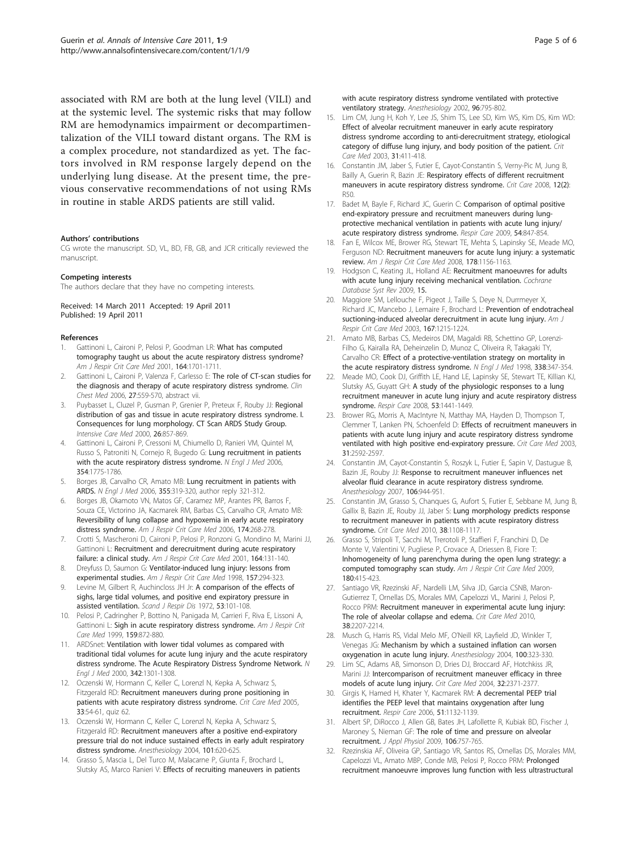<span id="page-4-0"></span>associated with RM are both at the lung level (VILI) and at the systemic level. The systemic risks that may follow RM are hemodynamics impairment or decompartimentalization of the VILI toward distant organs. The RM is a complex procedure, not standardized as yet. The factors involved in RM response largely depend on the underlying lung disease. At the present time, the previous conservative recommendations of not using RMs in routine in stable ARDS patients are still valid.

#### Authors' contributions

CG wrote the manuscript. SD, VL, BD, FB, GB, and JCR critically reviewed the manuscript.

#### Competing interests

The authors declare that they have no competing interests.

#### Received: 14 March 2011 Accepted: 19 April 2011 Published: 19 April 2011

#### References

- Gattinoni L, Caironi P, Pelosi P, Goodman LR: [What has computed](http://www.ncbi.nlm.nih.gov/pubmed/11719313?dopt=Abstract) [tomography taught us about the acute respiratory distress syndrome?](http://www.ncbi.nlm.nih.gov/pubmed/11719313?dopt=Abstract) Am J Respir Crit Care Med 2001, 164:1701-1711.
- Gattinoni L, Caironi P, Valenza F, Carlesso E: [The role of CT-scan studies for](http://www.ncbi.nlm.nih.gov/pubmed/17085245?dopt=Abstract) [the diagnosis and therapy of acute respiratory distress syndrome.](http://www.ncbi.nlm.nih.gov/pubmed/17085245?dopt=Abstract) Clin Chest Med 2006, 27:559-570, abstract vii.
- Puybasset L, Cluzel P, Gusman P, Grenier P, Preteux F, Rouby JJ: [Regional](http://www.ncbi.nlm.nih.gov/pubmed/10990099?dopt=Abstract) [distribution of gas and tissue in acute respiratory distress syndrome. I.](http://www.ncbi.nlm.nih.gov/pubmed/10990099?dopt=Abstract) [Consequences for lung morphology. CT Scan ARDS Study Group.](http://www.ncbi.nlm.nih.gov/pubmed/10990099?dopt=Abstract) Intensive Care Med 2000, 26:857-869.
- 4. Gattinoni L, Caironi P, Cressoni M, Chiumello D, Ranieri VM, Quintel M, Russo S, Patroniti N, Cornejo R, Bugedo G: [Lung recruitment in patients](http://www.ncbi.nlm.nih.gov/pubmed/16641394?dopt=Abstract) [with the acute respiratory distress syndrome.](http://www.ncbi.nlm.nih.gov/pubmed/16641394?dopt=Abstract) N Engl J Med 2006, 354:1775-1786.
- 5. Borges JB, Carvalho CR, Amato MB: [Lung recruitment in patients with](http://www.ncbi.nlm.nih.gov/pubmed/16855277?dopt=Abstract) [ARDS.](http://www.ncbi.nlm.nih.gov/pubmed/16855277?dopt=Abstract) N Engl J Med 2006, 355:319-320, author reply 321-312.
- 6. Borges JB, Okamoto VN, Matos GF, Caramez MP, Arantes PR, Barros F, Souza CE, Victorino JA, Kacmarek RM, Barbas CS, Carvalho CR, Amato MB: [Reversibility of lung collapse and hypoxemia in early acute respiratory](http://www.ncbi.nlm.nih.gov/pubmed/16690982?dopt=Abstract) [distress syndrome.](http://www.ncbi.nlm.nih.gov/pubmed/16690982?dopt=Abstract) Am J Respir Crit Care Med 2006, 174:268-278.
- 7. Crotti S, Mascheroni D, Caironi P, Pelosi P, Ronzoni G, Mondino M, Marini JJ, Gattinoni L: [Recruitment and derecruitment during acute respiratory](http://www.ncbi.nlm.nih.gov/pubmed/11435251?dopt=Abstract) [failure: a clinical study.](http://www.ncbi.nlm.nih.gov/pubmed/11435251?dopt=Abstract) Am J Respir Crit Care Med 2001, 164:131-140.
- 8. Dreyfuss D, Saumon G: [Ventilator-induced lung injury: lessons from](http://www.ncbi.nlm.nih.gov/pubmed/9445314?dopt=Abstract) [experimental studies.](http://www.ncbi.nlm.nih.gov/pubmed/9445314?dopt=Abstract) Am J Respir Crit Care Med 1998, 157:294-323.
- 9. Levine M, Gilbert R, Auchincloss JH Jr: [A comparison of the effects of](http://www.ncbi.nlm.nih.gov/pubmed/5052722?dopt=Abstract) [sighs, large tidal volumes, and positive end expiratory pressure in](http://www.ncbi.nlm.nih.gov/pubmed/5052722?dopt=Abstract) [assisted ventilation.](http://www.ncbi.nlm.nih.gov/pubmed/5052722?dopt=Abstract) Scand J Respir Dis 1972, 53:101-108.
- 10. Pelosi P, Cadringher P, Bottino N, Panigada M, Carrieri F, Riva E, Lissoni A, Gattinoni L: [Sigh in acute respiratory distress syndrome.](http://www.ncbi.nlm.nih.gov/pubmed/10051265?dopt=Abstract) Am J Respir Crit Care Med 1999, 159:872-880.
- 11. ARDSnet: [Ventilation with lower tidal volumes as compared with](http://www.ncbi.nlm.nih.gov/pubmed/10793162?dopt=Abstract) [traditional tidal volumes for acute lung injury and the acute respiratory](http://www.ncbi.nlm.nih.gov/pubmed/10793162?dopt=Abstract) [distress syndrome. The Acute Respiratory Distress Syndrome Network.](http://www.ncbi.nlm.nih.gov/pubmed/10793162?dopt=Abstract) N Engl J Med 2000, 342:1301-1308.
- 12. Oczenski W, Hormann C, Keller C, Lorenzl N, Kepka A, Schwarz S, Fitzgerald RD: [Recruitment maneuvers during prone positioning in](http://www.ncbi.nlm.nih.gov/pubmed/15644648?dopt=Abstract) [patients with acute respiratory distress syndrome.](http://www.ncbi.nlm.nih.gov/pubmed/15644648?dopt=Abstract) Crit Care Med 2005, 33:54-61, quiz 62.
- 13. Oczenski W, Hormann C, Keller C, Lorenzl N, Kepka A, Schwarz S, Fitzgerald RD: [Recruitment maneuvers after a positive end-expiratory](http://www.ncbi.nlm.nih.gov/pubmed/15329586?dopt=Abstract) [pressure trial do not induce sustained effects in early adult respiratory](http://www.ncbi.nlm.nih.gov/pubmed/15329586?dopt=Abstract) [distress syndrome.](http://www.ncbi.nlm.nih.gov/pubmed/15329586?dopt=Abstract) Anesthesiology 2004, 101:620-625.
- 14. Grasso S, Mascia L, Del Turco M, Malacarne P, Giunta F, Brochard L, Slutsky AS, Marco Ranieri V: [Effects of recruiting maneuvers in patients](http://www.ncbi.nlm.nih.gov/pubmed/11964585?dopt=Abstract)

[with acute respiratory distress syndrome ventilated with protective](http://www.ncbi.nlm.nih.gov/pubmed/11964585?dopt=Abstract) [ventilatory strategy.](http://www.ncbi.nlm.nih.gov/pubmed/11964585?dopt=Abstract) Anesthesiology 2002, 96:795-802.

- 15. Lim CM, Jung H, Koh Y, Lee JS, Shim TS, Lee SD, Kim WS, Kim DS, Kim WD: [Effect of alveolar recruitment maneuver in early acute respiratory](http://www.ncbi.nlm.nih.gov/pubmed/12576945?dopt=Abstract) [distress syndrome according to anti-derecruitment strategy, etiological](http://www.ncbi.nlm.nih.gov/pubmed/12576945?dopt=Abstract) [category of diffuse lung injury, and body position of the patient.](http://www.ncbi.nlm.nih.gov/pubmed/12576945?dopt=Abstract) Crit Care Med 2003, 31:411-418.
- 16. Constantin JM, Jaber S, Futier E, Cayot-Constantin S, Verny-Pic M, Jung B, Bailly A, Guerin R, Bazin JE: [Respiratory effects of different recruitment](http://www.ncbi.nlm.nih.gov/pubmed/18416847?dopt=Abstract) [maneuvers in acute respiratory distress syndrome.](http://www.ncbi.nlm.nih.gov/pubmed/18416847?dopt=Abstract) Crit Care 2008, 12(2): R50.
- 17. Badet M, Bayle F, Richard JC, Guerin C: [Comparison of optimal positive](http://www.ncbi.nlm.nih.gov/pubmed/19558735?dopt=Abstract) [end-expiratory pressure and recruitment maneuvers during lung](http://www.ncbi.nlm.nih.gov/pubmed/19558735?dopt=Abstract)[protective mechanical ventilation in patients with acute lung injury/](http://www.ncbi.nlm.nih.gov/pubmed/19558735?dopt=Abstract) [acute respiratory distress syndrome.](http://www.ncbi.nlm.nih.gov/pubmed/19558735?dopt=Abstract) Respir Care 2009, 54:847-854.
- 18. Fan E, Wilcox ME, Brower RG, Stewart TE, Mehta S, Lapinsky SE, Meade MO, Ferguson ND: [Recruitment maneuvers for acute lung injury: a systematic](http://www.ncbi.nlm.nih.gov/pubmed/18776154?dopt=Abstract) [review.](http://www.ncbi.nlm.nih.gov/pubmed/18776154?dopt=Abstract) Am J Respir Crit Care Med 2008, 178:1156-1163.
- 19. Hodgson C, Keating JL, Holland AE: Recruitment manoeuvres for adults with acute lung injury receiving mechanical ventilation. Cochrane Database Syst Rev 2009, 15.
- 20. Maggiore SM, Lellouche F, Pigeot J, Taille S, Deye N, Durrmeyer X, Richard JC, Mancebo J, Lemaire F, Brochard L: [Prevention of endotracheal](http://www.ncbi.nlm.nih.gov/pubmed/12615633?dopt=Abstract) [suctioning-induced alveolar derecruitment in acute lung injury.](http://www.ncbi.nlm.nih.gov/pubmed/12615633?dopt=Abstract) Am J Respir Crit Care Med 2003, 167:1215-1224.
- 21. Amato MB, Barbas CS, Medeiros DM, Magaldi RB, Schettino GP, Lorenzi-Filho G, Kairalla RA, Deheinzelin D, Munoz C, Oliveira R, Takagaki TY, Carvalho CR: [Effect of a protective-ventilation strategy on mortality in](http://www.ncbi.nlm.nih.gov/pubmed/9449727?dopt=Abstract) [the acute respiratory distress syndrome.](http://www.ncbi.nlm.nih.gov/pubmed/9449727?dopt=Abstract) N Engl J Med 1998, 338:347-354.
- 22. Meade MO, Cook DJ, Griffith LE, Hand LE, Lapinsky SE, Stewart TE, Killian KJ, Slutsky AS, Guyatt GH: [A study of the physiologic responses to a lung](http://www.ncbi.nlm.nih.gov/pubmed/18957146?dopt=Abstract) [recruitment maneuver in acute lung injury and acute respiratory distress](http://www.ncbi.nlm.nih.gov/pubmed/18957146?dopt=Abstract) [syndrome.](http://www.ncbi.nlm.nih.gov/pubmed/18957146?dopt=Abstract) Respir Care 2008, 53:1441-1449.
- 23. Brower RG, Morris A, MacIntyre N, Matthay MA, Hayden D, Thompson T, Clemmer T, Lanken PN, Schoenfeld D: [Effects of recruitment maneuvers in](http://www.ncbi.nlm.nih.gov/pubmed/14605529?dopt=Abstract) [patients with acute lung injury and acute respiratory distress syndrome](http://www.ncbi.nlm.nih.gov/pubmed/14605529?dopt=Abstract) [ventilated with high positive end-expiratory pressure.](http://www.ncbi.nlm.nih.gov/pubmed/14605529?dopt=Abstract) Crit Care Med 2003, 31:2592-2597.
- 24. Constantin JM, Cayot-Constantin S, Roszyk L, Futier E, Sapin V, Dastugue B, Bazin JE, Rouby JJ: [Response to recruitment maneuver influences net](http://www.ncbi.nlm.nih.gov/pubmed/17457125?dopt=Abstract) [alveolar fluid clearance in acute respiratory distress syndrome.](http://www.ncbi.nlm.nih.gov/pubmed/17457125?dopt=Abstract) Anesthesiology 2007, 106:944-951.
- 25. Constantin JM, Grasso S, Chanques G, Aufort S, Futier E, Sebbane M, Jung B, Gallix B, Bazin JE, Rouby JJ, Jaber S: [Lung morphology predicts response](http://www.ncbi.nlm.nih.gov/pubmed/20154600?dopt=Abstract) [to recruitment maneuver in patients with acute respiratory distress](http://www.ncbi.nlm.nih.gov/pubmed/20154600?dopt=Abstract) [syndrome.](http://www.ncbi.nlm.nih.gov/pubmed/20154600?dopt=Abstract) Crit Care Med 2010, 38:1108-1117.
- 26. Grasso S, Stripoli T, Sacchi M, Trerotoli P, Staffieri F, Franchini D, De Monte V, Valentini V, Pugliese P, Crovace A, Driessen B, Fiore T: [Inhomogeneity of lung parenchyma during the open lung strategy: a](http://www.ncbi.nlm.nih.gov/pubmed/19542479?dopt=Abstract) [computed tomography scan study.](http://www.ncbi.nlm.nih.gov/pubmed/19542479?dopt=Abstract) Am J Respir Crit Care Med 2009, 180:415-423.
- 27. Santiago VR, Rzezinski AF, Nardelli LM, Silva JD, Garcia CSNB, Maron-Gutierrez T, Ornellas DS, Morales MM, Capelozzi VL, Marini J, Pelosi P, Rocco PRM: [Recruitment maneuver in experimental acute lung injury:](http://www.ncbi.nlm.nih.gov/pubmed/20818231?dopt=Abstract) [The role of alveolar collapse and edema.](http://www.ncbi.nlm.nih.gov/pubmed/20818231?dopt=Abstract) Crit Care Med 2010, 38:2207-2214.
- 28. Musch G, Harris RS, Vidal Melo MF, O'Neill KR, Layfield JD, Winkler T, Venegas JG: [Mechanism by which a sustained inflation can worsen](http://www.ncbi.nlm.nih.gov/pubmed/14739807?dopt=Abstract) [oxygenation in acute lung injury.](http://www.ncbi.nlm.nih.gov/pubmed/14739807?dopt=Abstract) Anesthesiology 2004, 100:323-330.
- 29. Lim SC, Adams AB, Simonson D, Dries DJ, Broccard AF, Hotchkiss JR, Marini JJ: [Intercomparison of recruitment maneuver efficacy in three](http://www.ncbi.nlm.nih.gov/pubmed/15599138?dopt=Abstract) [models of acute lung injury.](http://www.ncbi.nlm.nih.gov/pubmed/15599138?dopt=Abstract) Crit Care Med 2004, 32:2371-2377.
- 30. Girgis K, Hamed H, Khater Y, Kacmarek RM: [A decremental PEEP trial](http://www.ncbi.nlm.nih.gov/pubmed/17005058?dopt=Abstract) [identifies the PEEP level that maintains oxygenation after lung](http://www.ncbi.nlm.nih.gov/pubmed/17005058?dopt=Abstract) [recruitment.](http://www.ncbi.nlm.nih.gov/pubmed/17005058?dopt=Abstract) Respir Care 2006, 51:1132-1139.
- 31. Albert SP, DiRocco J, Allen GB, Bates JH, Lafollette R, Kubiak BD, Fischer J, Maroney S, Nieman GF: [The role of time and pressure on alveolar](http://www.ncbi.nlm.nih.gov/pubmed/19074576?dopt=Abstract) [recruitment.](http://www.ncbi.nlm.nih.gov/pubmed/19074576?dopt=Abstract) J Appl Physiol 2009, 106:757-765.
- 32. Rzezinskia AF, Oliveira GP, Santiago VR, Santos RS, Ornellas DS, Morales MM, Capelozzi VL, Amato MBP, Conde MB, Pelosi P, Rocco PRM: [Prolonged](http://www.ncbi.nlm.nih.gov/pubmed/19819351?dopt=Abstract) [recruitment manoeuvre improves lung function with less ultrastructural](http://www.ncbi.nlm.nih.gov/pubmed/19819351?dopt=Abstract)